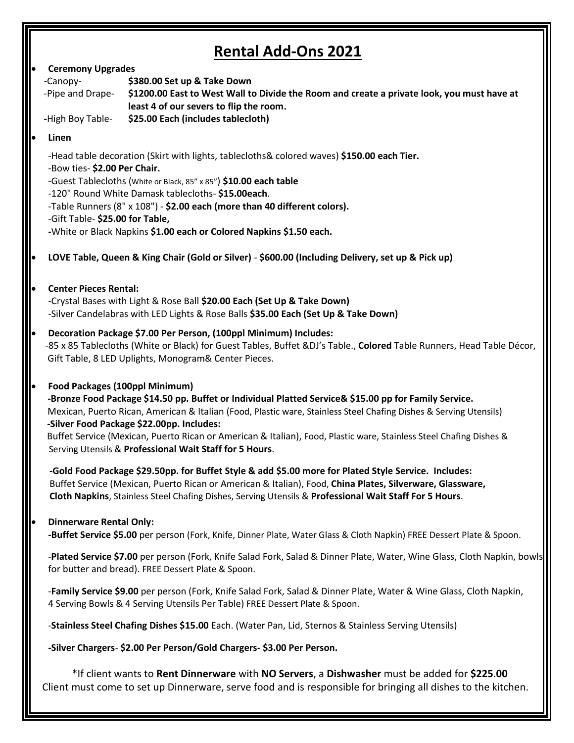Ш

| <b>Rental Add-Ons 2021</b>     |                                                                                                                            |                                                                                                                                                                                                                  |
|--------------------------------|----------------------------------------------------------------------------------------------------------------------------|------------------------------------------------------------------------------------------------------------------------------------------------------------------------------------------------------------------|
| <b>Ceremony Upgrades</b><br>lo |                                                                                                                            |                                                                                                                                                                                                                  |
|                                | -Canopy-                                                                                                                   | \$380.00 Set up & Take Down                                                                                                                                                                                      |
|                                |                                                                                                                            | -Pipe and Drape-<br>S1200.00 East to West Wall to Divide the Room and create a private look, you must have at<br>least 4 of our severs to flip the room.                                                         |
|                                | -High Boy Table-                                                                                                           | \$25.00 Each (includes tablecloth)                                                                                                                                                                               |
| lo                             | Linen                                                                                                                      |                                                                                                                                                                                                                  |
|                                |                                                                                                                            |                                                                                                                                                                                                                  |
|                                | -Head table decoration (Skirt with lights, tablecloths& colored waves) \$150.00 each Tier.<br>-Bow ties- \$2.00 Per Chair. |                                                                                                                                                                                                                  |
|                                |                                                                                                                            | -Guest Tablecloths (White or Black, 85" x 85") \$10.00 each table                                                                                                                                                |
|                                |                                                                                                                            | -120" Round White Damask tablecloths- \$15.00each.                                                                                                                                                               |
|                                |                                                                                                                            | -Table Runners (8" x 108") - \$2.00 each (more than 40 different colors).                                                                                                                                        |
|                                | -Gift Table- \$25.00 for Table,                                                                                            | -White or Black Napkins \$1.00 each or Colored Napkins \$1.50 each.                                                                                                                                              |
|                                |                                                                                                                            |                                                                                                                                                                                                                  |
| $\bullet$                      |                                                                                                                            | LOVE Table, Queen & King Chair (Gold or Silver) - \$600.00 (Including Delivery, set up & Pick up)                                                                                                                |
| le                             | <b>Center Pieces Rental:</b>                                                                                               |                                                                                                                                                                                                                  |
|                                |                                                                                                                            | -Crystal Bases with Light & Rose Ball \$20.00 Each (Set Up & Take Down)                                                                                                                                          |
|                                |                                                                                                                            | -Silver Candelabras with LED Lights & Rose Balls \$35.00 Each (Set Up & Take Down)                                                                                                                               |
| le                             |                                                                                                                            | Decoration Package \$7.00 Per Person, (100ppl Minimum) Includes:                                                                                                                                                 |
|                                |                                                                                                                            | -85 x 85 Tablecloths (White or Black) for Guest Tables, Buffet &DJ's Table., Colored Table Runners, Head Table Décor,                                                                                            |
|                                |                                                                                                                            | Gift Table, 8 LED Uplights, Monogram& Center Pieces.                                                                                                                                                             |
| lo                             | Food Packages (100ppl Minimum)                                                                                             |                                                                                                                                                                                                                  |
|                                |                                                                                                                            | -Bronze Food Package \$14.50 pp. Buffet or Individual Platted Service& \$15.00 pp for Family Service.                                                                                                            |
|                                |                                                                                                                            | Mexican, Puerto Rican, American & Italian (Food, Plastic ware, Stainless Steel Chafing Dishes & Serving Utensils)                                                                                                |
|                                |                                                                                                                            | -Silver Food Package \$22.00pp. Includes:<br>Buffet Service (Mexican, Puerto Rican or American & Italian), Food, Plastic ware, Stainless Steel Chafing Dishes &                                                  |
|                                |                                                                                                                            | Serving Utensils & Professional Wait Staff for 5 Hours.                                                                                                                                                          |
|                                |                                                                                                                            |                                                                                                                                                                                                                  |
|                                |                                                                                                                            | -Gold Food Package \$29.50pp. for Buffet Style & add \$5.00 more for Plated Style Service. Includes:<br>Buffet Service (Mexican, Puerto Rican or American & Italian), Food, China Plates, Silverware, Glassware, |
|                                |                                                                                                                            | Cloth Napkins, Stainless Steel Chafing Dishes, Serving Utensils & Professional Wait Staff For 5 Hours.                                                                                                           |
|                                |                                                                                                                            |                                                                                                                                                                                                                  |
| lo                             | <b>Dinnerware Rental Only:</b>                                                                                             | -Buffet Service \$5.00 per person (Fork, Knife, Dinner Plate, Water Glass & Cloth Napkin) FREE Dessert Plate & Spoon.                                                                                            |
|                                |                                                                                                                            |                                                                                                                                                                                                                  |
|                                |                                                                                                                            | -Plated Service \$7.00 per person (Fork, Knife Salad Fork, Salad & Dinner Plate, Water, Wine Glass, Cloth Napkin, bowls                                                                                          |
|                                |                                                                                                                            | for butter and bread). FREE Dessert Plate & Spoon.                                                                                                                                                               |
|                                |                                                                                                                            | -Family Service \$9.00 per person (Fork, Knife Salad Fork, Salad & Dinner Plate, Water & Wine Glass, Cloth Napkin,                                                                                               |
|                                |                                                                                                                            | 4 Serving Bowls & 4 Serving Utensils Per Table) FREE Dessert Plate & Spoon.                                                                                                                                      |
|                                |                                                                                                                            | -Stainless Steel Chafing Dishes \$15.00 Each. (Water Pan, Lid, Sternos & Stainless Serving Utensils)                                                                                                             |
|                                |                                                                                                                            | -Silver Chargers- \$2.00 Per Person/Gold Chargers- \$3.00 Per Person.                                                                                                                                            |
|                                |                                                                                                                            | *If client wants to Rent Dinnerware with NO Servers, a Dishwasher must be added for \$225.00                                                                                                                     |
|                                |                                                                                                                            | Client must come to set up Dinnerware, serve food and is responsible for bringing all dishes to the kitchen.                                                                                                     |